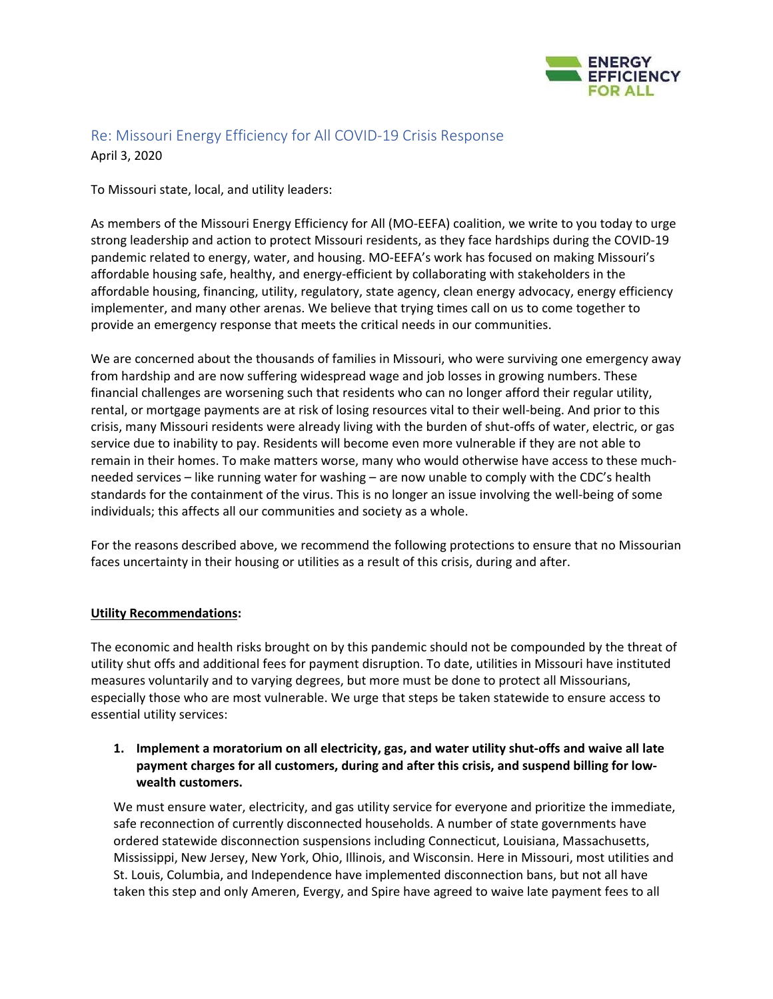

# Re: Missouri Energy Efficiency for All COVID‐19 Crisis Response April 3, 2020

To Missouri state, local, and utility leaders:

As members of the Missouri Energy Efficiency for All (MO‐EEFA) coalition, we write to you today to urge strong leadership and action to protect Missouri residents, as they face hardships during the COVID‐19 pandemic related to energy, water, and housing. MO‐EEFA's work has focused on making Missouri's affordable housing safe, healthy, and energy‐efficient by collaborating with stakeholders in the affordable housing, financing, utility, regulatory, state agency, clean energy advocacy, energy efficiency implementer, and many other arenas. We believe that trying times call on us to come together to provide an emergency response that meets the critical needs in our communities.

We are concerned about the thousands of families in Missouri, who were surviving one emergency away from hardship and are now suffering widespread wage and job losses in growing numbers. These financial challenges are worsening such that residents who can no longer afford their regular utility, rental, or mortgage payments are at risk of losing resources vital to their well‐being. And prior to this crisis, many Missouri residents were already living with the burden of shut‐offs of water, electric, or gas service due to inability to pay. Residents will become even more vulnerable if they are not able to remain in their homes. To make matters worse, many who would otherwise have access to these much‐ needed services – like running water for washing – are now unable to comply with the CDC's health standards for the containment of the virus. This is no longer an issue involving the well‐being of some individuals; this affects all our communities and society as a whole.

For the reasons described above, we recommend the following protections to ensure that no Missourian faces uncertainty in their housing or utilities as a result of this crisis, during and after.

### **Utility Recommendations:**

The economic and health risks brought on by this pandemic should not be compounded by the threat of utility shut offs and additional fees for payment disruption. To date, utilities in Missouri have instituted measures voluntarily and to varying degrees, but more must be done to protect all Missourians, especially those who are most vulnerable. We urge that steps be taken statewide to ensure access to essential utility services:

# **1. Implement a moratorium on all electricity, gas, and water utility shut‐offs and waive all late payment charges for all customers, during and after this crisis, and suspend billing for low‐ wealth customers.**

 We must ensure water, electricity, and gas utility service for everyone and prioritize the immediate, safe reconnection of currently disconnected households. A number of state governments have ordered statewide disconnection suspensions including Connecticut, Louisiana, Massachusetts, Mississippi, New Jersey, New York, Ohio, Illinois, and Wisconsin. Here in Missouri, most utilities and St. Louis, Columbia, and Independence have implemented disconnection bans, but not all have taken this step and only Ameren, Evergy, and Spire have agreed to waive late payment fees to all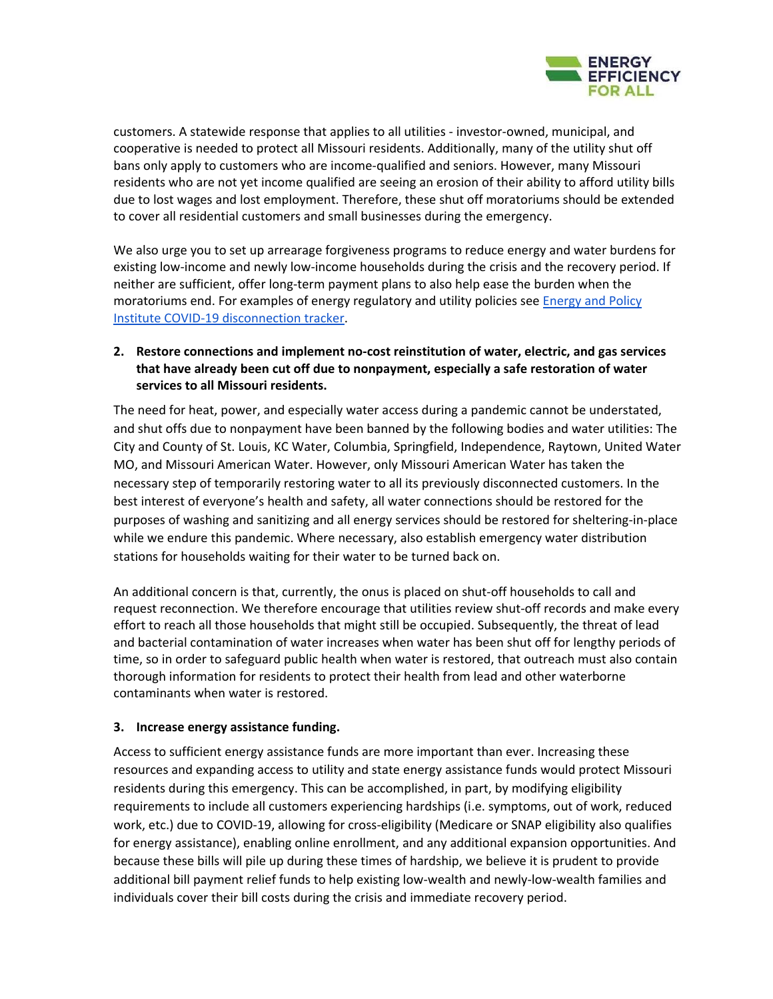

customers. A statewide response that applies to all utilities ‐ investor‐owned, municipal, and cooperative is needed to protect all Missouri residents. Additionally, many of the utility shut off bans only apply to customers who are income-qualified and seniors. However, many Missouri residents who are not yet income qualified are seeing an erosion of their ability to afford utility bills due to lost wages and lost employment. Therefore, these shut off moratoriums should be extended to cover all residential customers and small businesses during the emergency.

 We also urge you to set up arrearage forgiveness programs to reduce energy and water burdens for existing low-income and newly low-income households during the crisis and the recovery period. If neither are sufficient, offer long‐term payment plans to also help ease the burden when the moratoriums end. For examples of energy regulatory and utility policies see *Energy and Policy* Institute COVID‐19 disconnection tracker.

# **2. Restore connections and implement no‐cost reinstitution of water, electric, and gas services that have already been cut off due to nonpayment, especially a safe restoration of water services to all Missouri residents.**

The need for heat, power, and especially water access during a pandemic cannot be understated, and shut offs due to nonpayment have been banned by the following bodies and water utilities: The City and County of St. Louis, KC Water, Columbia, Springfield, Independence, Raytown, United Water MO, and Missouri American Water. However, only Missouri American Water has taken the necessary step of temporarily restoring water to all its previously disconnected customers. In the best interest of everyone's health and safety, all water connections should be restored for the purposes of washing and sanitizing and all energy services should be restored for sheltering-in-place while we endure this pandemic. Where necessary, also establish emergency water distribution stations for households waiting for their water to be turned back on.

An additional concern is that, currently, the onus is placed on shut‐off households to call and request reconnection. We therefore encourage that utilities review shut‐off records and make every effort to reach all those households that might still be occupied. Subsequently, the threat of lead and bacterial contamination of water increases when water has been shut off for lengthy periods of time, so in order to safeguard public health when water is restored, that outreach must also contain thorough information for residents to protect their health from lead and other waterborne contaminants when water is restored.

### **3. Increase energy assistance funding.**

Access to sufficient energy assistance funds are more important than ever. Increasing these resources and expanding access to utility and state energy assistance funds would protect Missouri residents during this emergency. This can be accomplished, in part, by modifying eligibility requirements to include all customers experiencing hardships (i.e. symptoms, out of work, reduced work, etc.) due to COVID-19, allowing for cross-eligibility (Medicare or SNAP eligibility also qualifies for energy assistance), enabling online enrollment, and any additional expansion opportunities. And because these bills will pile up during these times of hardship, we believe it is prudent to provide additional bill payment relief funds to help existing low‐wealth and newly‐low‐wealth families and individuals cover their bill costs during the crisis and immediate recovery period.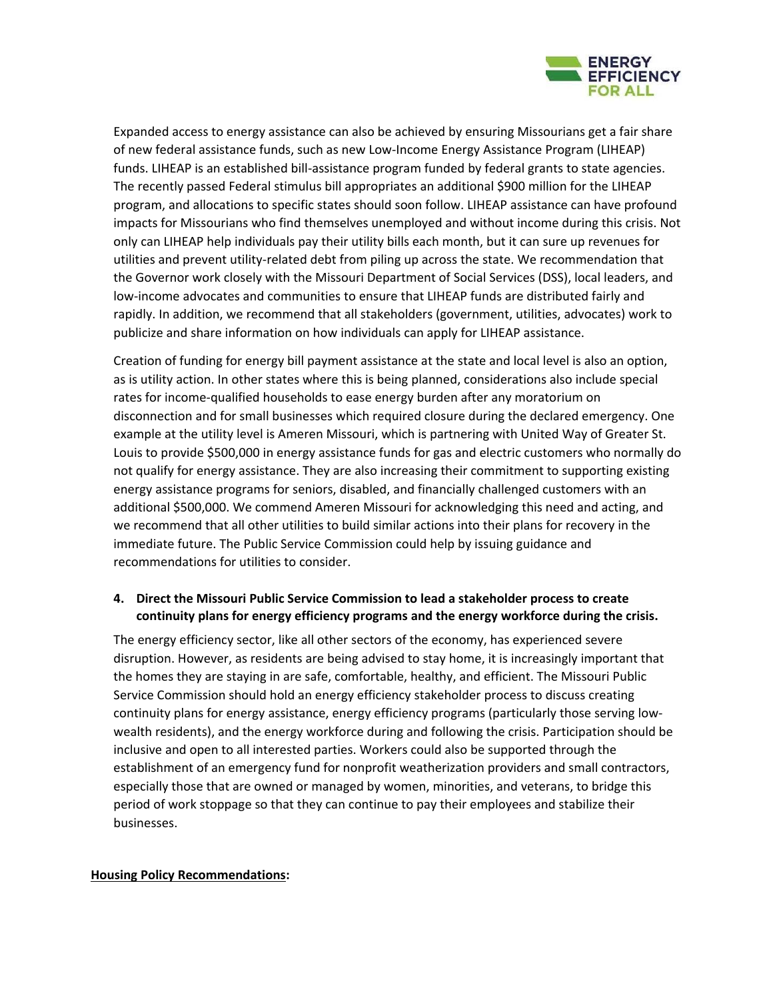

Expanded access to energy assistance can also be achieved by ensuring Missourians get a fair share of new federal assistance funds, such as new Low‐Income Energy Assistance Program (LIHEAP) funds. LIHEAP is an established bill‐assistance program funded by federal grants to state agencies. The recently passed Federal stimulus bill appropriates an additional \$900 million for the LIHEAP program, and allocations to specific states should soon follow. LIHEAP assistance can have profound impacts for Missourians who find themselves unemployed and without income during this crisis. Not only can LIHEAP help individuals pay their utility bills each month, but it can sure up revenues for utilities and prevent utility‐related debt from piling up across the state. We recommendation that the Governor work closely with the Missouri Department of Social Services (DSS), local leaders, and low‐income advocates and communities to ensure that LIHEAP funds are distributed fairly and rapidly. In addition, we recommend that all stakeholders (government, utilities, advocates) work to publicize and share information on how individuals can apply for LIHEAP assistance.

Creation of funding for energy bill payment assistance at the state and local level is also an option, as is utility action. In other states where this is being planned, considerations also include special rates for income‐qualified households to ease energy burden after any moratorium on disconnection and for small businesses which required closure during the declared emergency. One example at the utility level is Ameren Missouri, which is partnering with United Way of Greater St. Louis to provide \$500,000 in energy assistance funds for gas and electric customers who normally do not qualify for energy assistance. They are also increasing their commitment to supporting existing energy assistance programs for seniors, disabled, and financially challenged customers with an additional \$500,000. We commend Ameren Missouri for acknowledging this need and acting, and we recommend that all other utilities to build similar actions into their plans for recovery in the immediate future. The Public Service Commission could help by issuing guidance and recommendations for utilities to consider.

### **4. Direct the Missouri Public Service Commission to lead a stakeholder process to create continuity plans for energy efficiency programs and the energy workforce during the crisis.**

The energy efficiency sector, like all other sectors of the economy, has experienced severe disruption. However, as residents are being advised to stay home, it is increasingly important that the homes they are staying in are safe, comfortable, healthy, and efficient. The Missouri Public Service Commission should hold an energy efficiency stakeholder process to discuss creating continuity plans for energy assistance, energy efficiency programs (particularly those serving low‐ wealth residents), and the energy workforce during and following the crisis. Participation should be inclusive and open to all interested parties. Workers could also be supported through the establishment of an emergency fund for nonprofit weatherization providers and small contractors, especially those that are owned or managed by women, minorities, and veterans, to bridge this period of work stoppage so that they can continue to pay their employees and stabilize their businesses.

#### **Housing Policy Recommendations:**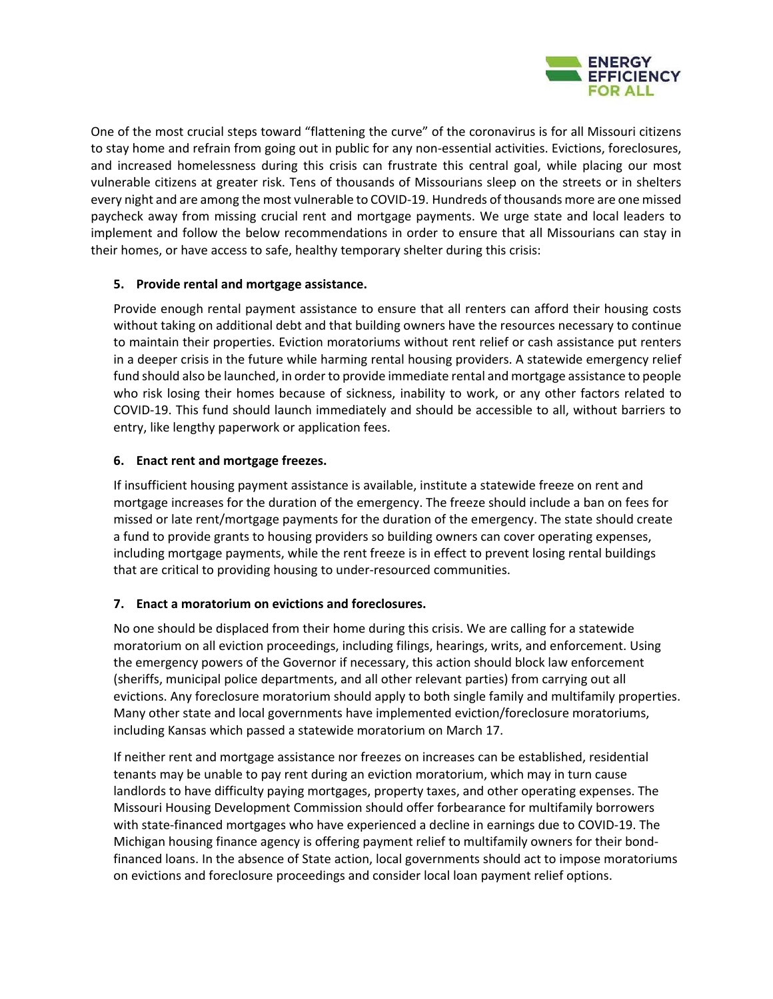

One of the most crucial steps toward "flattening the curve" of the coronavirus is for all Missouri citizens to stay home and refrain from going out in public for any non‐essential activities. Evictions, foreclosures, and increased homelessness during this crisis can frustrate this central goal, while placing our most vulnerable citizens at greater risk. Tens of thousands of Missourians sleep on the streets or in shelters every night and are among the most vulnerable to COVID‐19. Hundreds of thousands more are one missed paycheck away from missing crucial rent and mortgage payments. We urge state and local leaders to implement and follow the below recommendations in order to ensure that all Missourians can stay in their homes, or have access to safe, healthy temporary shelter during this crisis:

# **5. Provide rental and mortgage assistance.**

Provide enough rental payment assistance to ensure that all renters can afford their housing costs without taking on additional debt and that building owners have the resources necessary to continue to maintain their properties. Eviction moratoriums without rent relief or cash assistance put renters in a deeper crisis in the future while harming rental housing providers. A statewide emergency relief fund should also be launched, in order to provide immediate rental and mortgage assistance to people who risk losing their homes because of sickness, inability to work, or any other factors related to COVID‐19. This fund should launch immediately and should be accessible to all, without barriers to entry, like lengthy paperwork or application fees.

# **6. Enact rent and mortgage freezes.**

If insufficient housing payment assistance is available, institute a statewide freeze on rent and mortgage increases for the duration of the emergency. The freeze should include a ban on fees for missed or late rent/mortgage payments for the duration of the emergency. The state should create a fund to provide grants to housing providers so building owners can cover operating expenses, including mortgage payments, while the rent freeze is in effect to prevent losing rental buildings that are critical to providing housing to under‐resourced communities.

# **7. Enact a moratorium on evictions and foreclosures.**

No one should be displaced from their home during this crisis. We are calling for a statewide moratorium on all eviction proceedings, including filings, hearings, writs, and enforcement. Using the emergency powers of the Governor if necessary, this action should block law enforcement (sheriffs, municipal police departments, and all other relevant parties) from carrying out all evictions. Any foreclosure moratorium should apply to both single family and multifamily properties. Many other state and local governments have implemented eviction/foreclosure moratoriums, including Kansas which passed a statewide moratorium on March 17.

If neither rent and mortgage assistance nor freezes on increases can be established, residential tenants may be unable to pay rent during an eviction moratorium, which may in turn cause landlords to have difficulty paying mortgages, property taxes, and other operating expenses. The Missouri Housing Development Commission should offer forbearance for multifamily borrowers with state-financed mortgages who have experienced a decline in earnings due to COVID-19. The Michigan housing finance agency is offering payment relief to multifamily owners for their bond‐ financed loans. In the absence of State action, local governments should act to impose moratoriums on evictions and foreclosure proceedings and consider local loan payment relief options.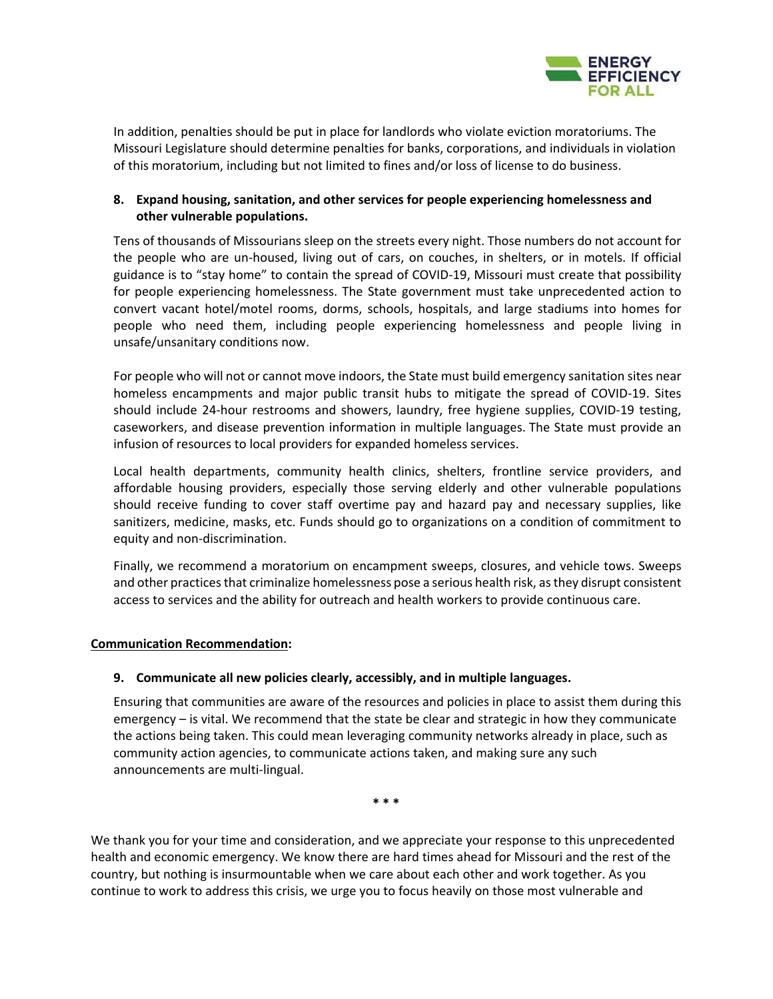

In addition, penalties should be put in place for landlords who violate eviction moratoriums. The Missouri Legislature should determine penalties for banks, corporations, and individuals in violation of this moratorium, including but not limited to fines and/or loss of license to do business.

### **8. Expand housing, sanitation, and other services for people experiencing homelessness and other vulnerable populations.**

Tens of thousands of Missourians sleep on the streets every night. Those numbers do not account for the people who are un-housed, living out of cars, on couches, in shelters, or in motels. If official guidance is to "stay home" to contain the spread of COVID‐19, Missouri must create that possibility for people experiencing homelessness. The State government must take unprecedented action to convert vacant hotel/motel rooms, dorms, schools, hospitals, and large stadiums into homes for people who need them, including people experiencing homelessness and people living in unsafe/unsanitary conditions now.

For people who will not or cannot move indoors, the State must build emergency sanitation sites near homeless encampments and major public transit hubs to mitigate the spread of COVID-19. Sites should include 24-hour restrooms and showers, laundry, free hygiene supplies, COVID-19 testing, caseworkers, and disease prevention information in multiple languages. The State must provide an infusion of resources to local providers for expanded homeless services.

Local health departments, community health clinics, shelters, frontline service providers, and affordable housing providers, especially those serving elderly and other vulnerable populations should receive funding to cover staff overtime pay and hazard pay and necessary supplies, like sanitizers, medicine, masks, etc. Funds should go to organizations on a condition of commitment to equity and non‐discrimination.

Finally, we recommend a moratorium on encampment sweeps, closures, and vehicle tows. Sweeps and other practices that criminalize homelessness pose a serious health risk, as they disrupt consistent access to services and the ability for outreach and health workers to provide continuous care.

#### **Communication Recommendation:**

#### **9. Communicate all new policies clearly, accessibly, and in multiple languages.**

Ensuring that communities are aware of the resources and policies in place to assist them during this emergency – is vital. We recommend that the state be clear and strategic in how they communicate the actions being taken. This could mean leveraging community networks already in place, such as community action agencies, to communicate actions taken, and making sure any such announcements are multi‐lingual.

**\* \* \*** 

We thank you for your time and consideration, and we appreciate your response to this unprecedented health and economic emergency. We know there are hard times ahead for Missouri and the rest of the country, but nothing is insurmountable when we care about each other and work together. As you continue to work to address this crisis, we urge you to focus heavily on those most vulnerable and